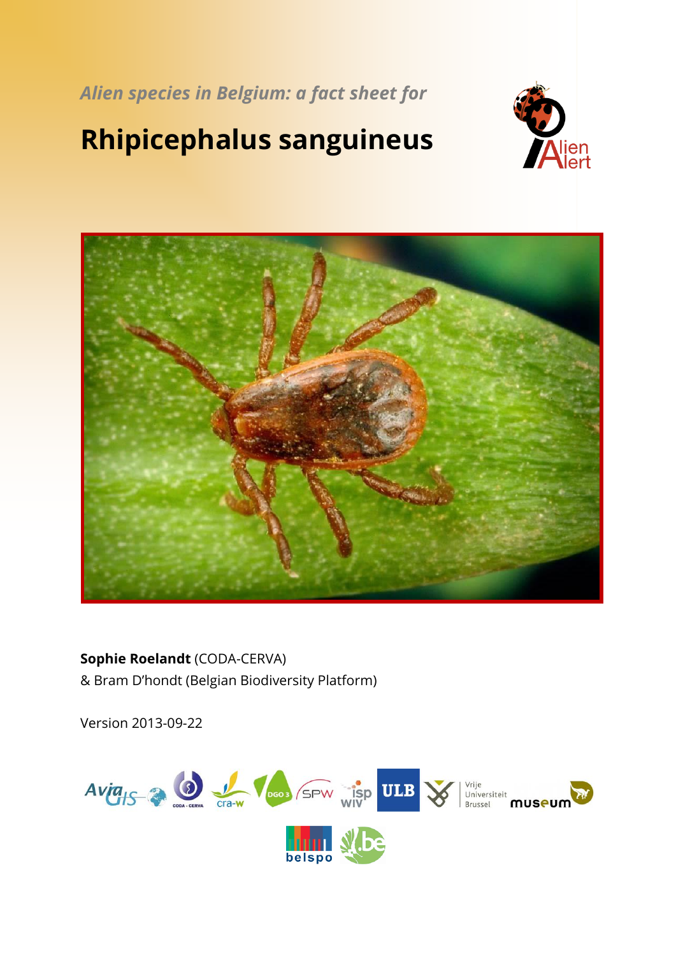*Alien species in Belgium: a fact sheet for*

# **Rhipicephalus sanguineus**





## **Sophie Roelandt** (CODA-CERVA) & Bram D'hondt (Belgian Biodiversity Platform)

Version 2013-09-22

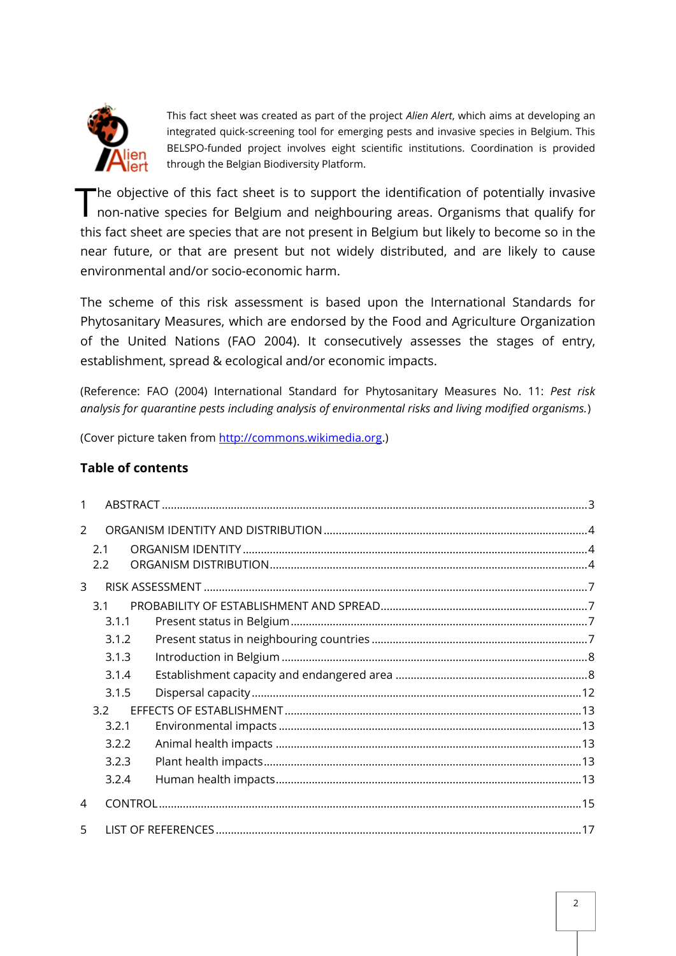

This fact sheet was created as part of the project *Alien Alert*, which aims at developing an integrated quick-screening tool for emerging pests and invasive species in Belgium. This BELSPO-funded project involves eight scientific institutions. Coordination is provided through the Belgian Biodiversity Platform.

he objective of this fact sheet is to support the identification of potentially invasive The objective of this fact sheet is to support the identification of potentially invasive<br>non-native species for Belgium and neighbouring areas. Organisms that qualify for this fact sheet are species that are not present in Belgium but likely to become so in the near future, or that are present but not widely distributed, and are likely to cause environmental and/or socio-economic harm.

The scheme of this risk assessment is based upon the International Standards for Phytosanitary Measures, which are endorsed by the Food and Agriculture Organization of the United Nations (FAO 2004). It consecutively assesses the stages of entry, establishment, spread & ecological and/or economic impacts.

(Reference: FAO (2004) International Standard for Phytosanitary Measures No. 11: *Pest risk analysis for quarantine pests including analysis of environmental risks and living modified organisms.*)

(Cover picture taken from [http://commons.wikimedia.org.](http://commons.wikimedia.org/))

## **Table of contents**

| $\mathcal{P}$ |       |  |  |  |
|---------------|-------|--|--|--|
|               | 2.1   |  |  |  |
|               | 2.2   |  |  |  |
| 3             |       |  |  |  |
|               | 3.1   |  |  |  |
|               | 3.1.1 |  |  |  |
|               | 3.1.2 |  |  |  |
|               | 3.1.3 |  |  |  |
|               | 3.1.4 |  |  |  |
|               | 3.1.5 |  |  |  |
|               | 32    |  |  |  |
|               | 3.2.1 |  |  |  |
|               | 3.2.2 |  |  |  |
|               | 3.2.3 |  |  |  |
|               | 3.2.4 |  |  |  |
| 4             |       |  |  |  |
| 5             |       |  |  |  |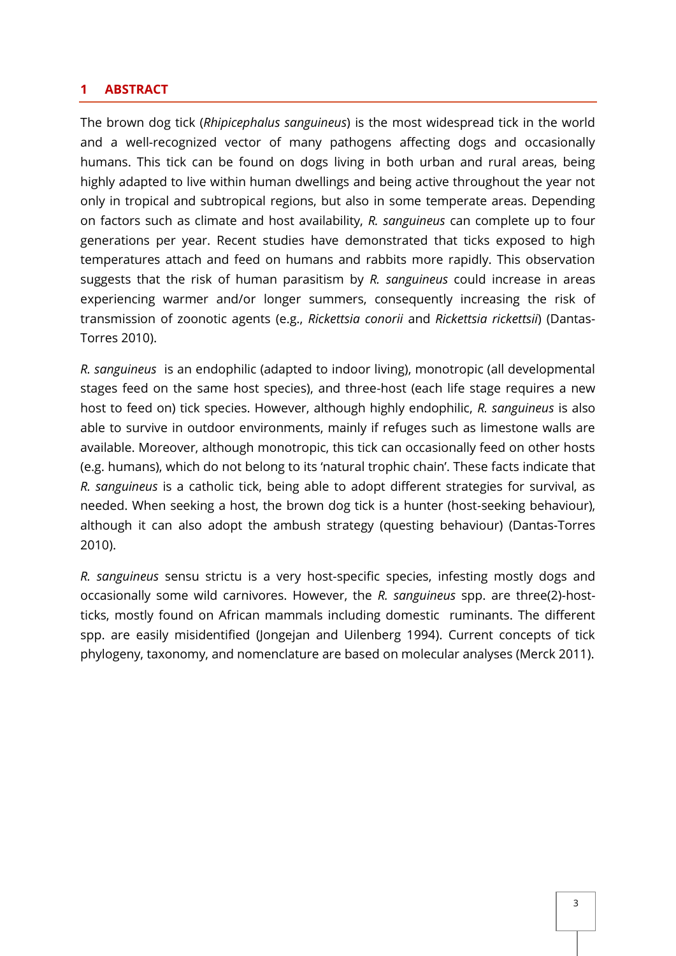#### <span id="page-2-0"></span>**1 ABSTRACT**

The brown dog tick (*Rhipicephalus sanguineus*) is the most widespread tick in the world and a well-recognized vector of many pathogens affecting dogs and occasionally humans. This tick can be found on dogs living in both urban and rural areas, being highly adapted to live within human dwellings and being active throughout the year not only in tropical and subtropical regions, but also in some temperate areas. Depending on factors such as climate and host availability, *R. sanguineus* can complete up to four generations per year. Recent studies have demonstrated that ticks exposed to high temperatures attach and feed on humans and rabbits more rapidly. This observation suggests that the risk of human parasitism by *R. sanguineus* could increase in areas experiencing warmer and/or longer summers, consequently increasing the risk of transmission of zoonotic agents (e.g., *Rickettsia conorii* and *Rickettsia rickettsii*) (Dantas-Torres 2010).

*R. sanguineus* is an endophilic (adapted to indoor living), monotropic (all developmental stages feed on the same host species), and three-host (each life stage requires a new host to feed on) tick species. However, although highly endophilic, *R. sanguineus* is also able to survive in outdoor environments, mainly if refuges such as limestone walls are available. Moreover, although monotropic, this tick can occasionally feed on other hosts (e.g. humans), which do not belong to its 'natural trophic chain'. These facts indicate that *R. sanguineus* is a catholic tick, being able to adopt different strategies for survival, as needed. When seeking a host, the brown dog tick is a hunter (host-seeking behaviour), although it can also adopt the ambush strategy (questing behaviour) (Dantas-Torres 2010).

*R. sanguineus* sensu strictu is a very host-specific species, infesting mostly dogs and occasionally some wild carnivores. However, the *R. sanguineus* spp. are three(2)-hostticks, mostly found on African mammals including domestic ruminants. The different spp. are easily misidentified (Jongejan and Uilenberg 1994). Current concepts of tick phylogeny, taxonomy, and nomenclature are based on molecular analyses (Merck 2011).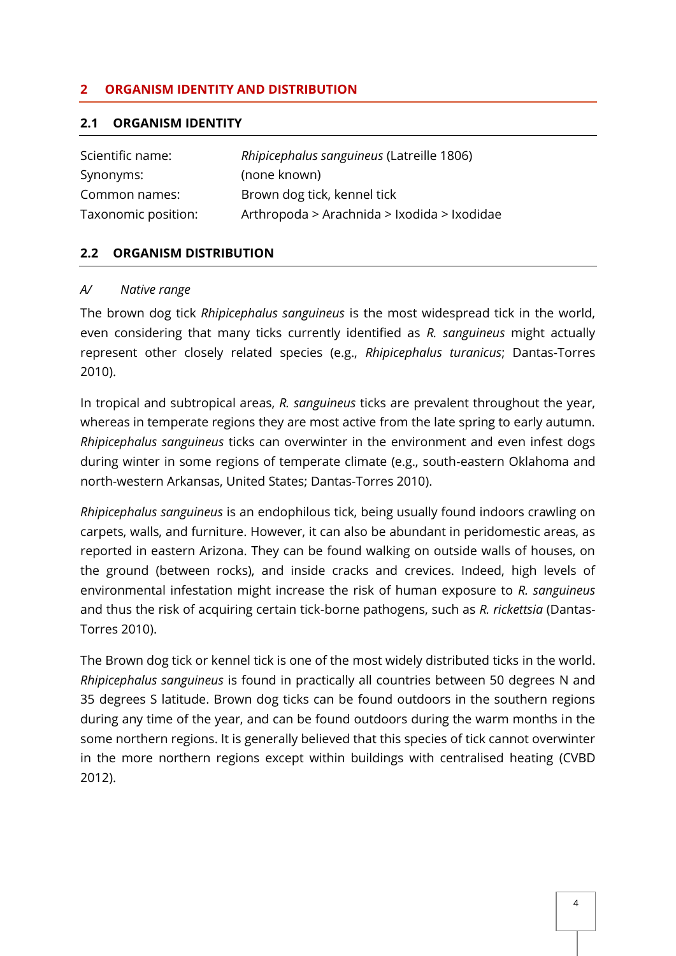### <span id="page-3-0"></span>**2 ORGANISM IDENTITY AND DISTRIBUTION**

#### <span id="page-3-1"></span>**2.1 ORGANISM IDENTITY**

| Scientific name:    | Rhipicephalus sanguineus (Latreille 1806)   |
|---------------------|---------------------------------------------|
| Synonyms:           | (none known)                                |
| Common names:       | Brown dog tick, kennel tick                 |
| Taxonomic position: | Arthropoda > Arachnida > Ixodida > Ixodidae |

#### <span id="page-3-2"></span>**2.2 ORGANISM DISTRIBUTION**

#### *A/ Native range*

The brown dog tick *Rhipicephalus sanguineus* is the most widespread tick in the world, even considering that many ticks currently identified as *R. sanguineus* might actually represent other closely related species (e.g., *Rhipicephalus turanicus*; Dantas-Torres 2010).

In tropical and subtropical areas, *R. sanguineus* ticks are prevalent throughout the year, whereas in temperate regions they are most active from the late spring to early autumn. *Rhipicephalus sanguineus* ticks can overwinter in the environment and even infest dogs during winter in some regions of temperate climate (e.g., south-eastern Oklahoma and north-western Arkansas, United States; Dantas-Torres 2010).

*Rhipicephalus sanguineus* is an endophilous tick, being usually found indoors crawling on carpets, walls, and furniture. However, it can also be abundant in peridomestic areas, as reported in eastern Arizona. They can be found walking on outside walls of houses, on the ground (between rocks), and inside cracks and crevices. Indeed, high levels of environmental infestation might increase the risk of human exposure to *R. sanguineus* and thus the risk of acquiring certain tick-borne pathogens, such as *R. rickettsia* (Dantas-Torres 2010).

The Brown dog tick or kennel tick is one of the most widely distributed ticks in the world. *Rhipicephalus sanguineus* is found in practically all countries between 50 degrees N and 35 degrees S latitude. Brown dog ticks can be found outdoors in the southern regions during any time of the year, and can be found outdoors during the warm months in the some northern regions. It is generally believed that this species of tick cannot overwinter in the more northern regions except within buildings with centralised heating (CVBD 2012).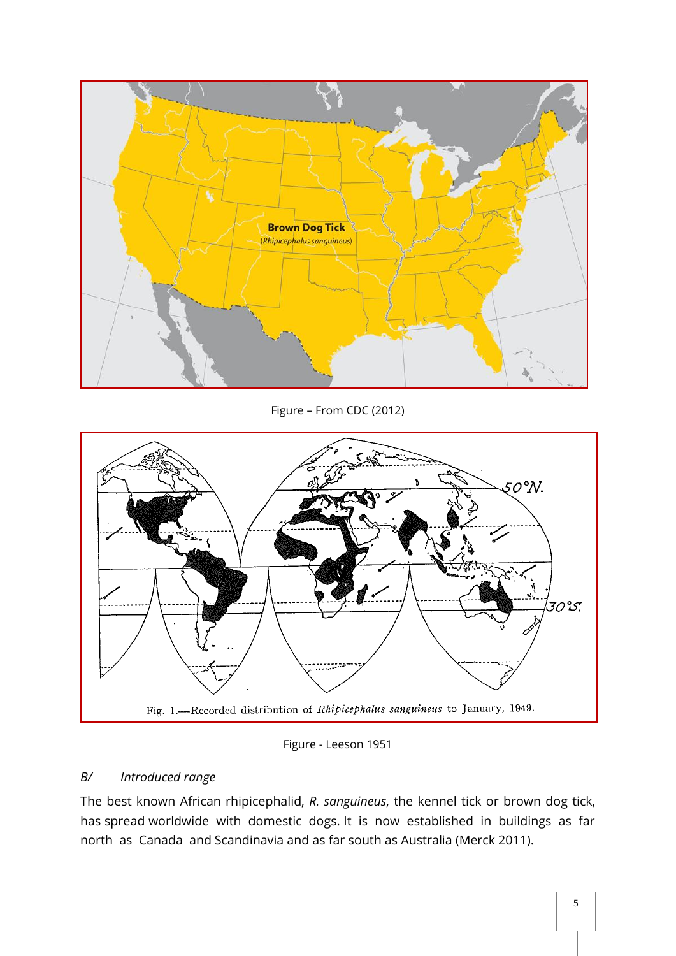

Figure – From CDC (2012)



Figure - Leeson 1951

## *B/ Introduced range*

The best known African rhipicephalid, *R. sanguineus*, the kennel tick or brown dog tick, has spread worldwide with domestic dogs. It is now established in buildings as far north as Canada and Scandinavia and as far south as Australia (Merck 2011).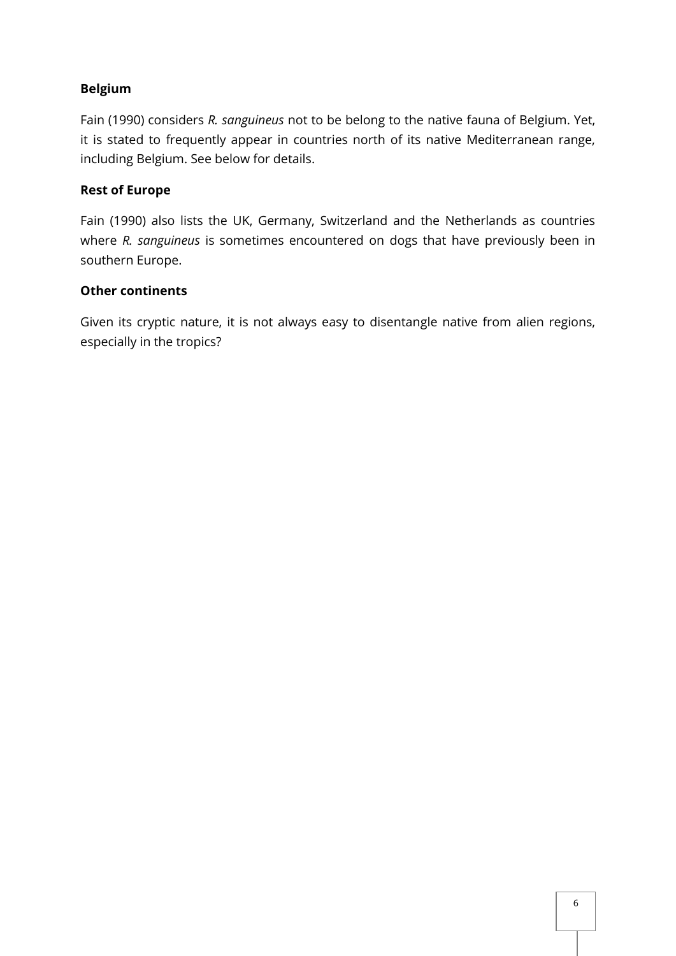### **Belgium**

Fain (1990) considers *R. sanguineus* not to be belong to the native fauna of Belgium. Yet, it is stated to frequently appear in countries north of its native Mediterranean range, including Belgium. See below for details.

#### **Rest of Europe**

Fain (1990) also lists the UK, Germany, Switzerland and the Netherlands as countries where *R. sanguineus* is sometimes encountered on dogs that have previously been in southern Europe.

#### **Other continents**

Given its cryptic nature, it is not always easy to disentangle native from alien regions, especially in the tropics?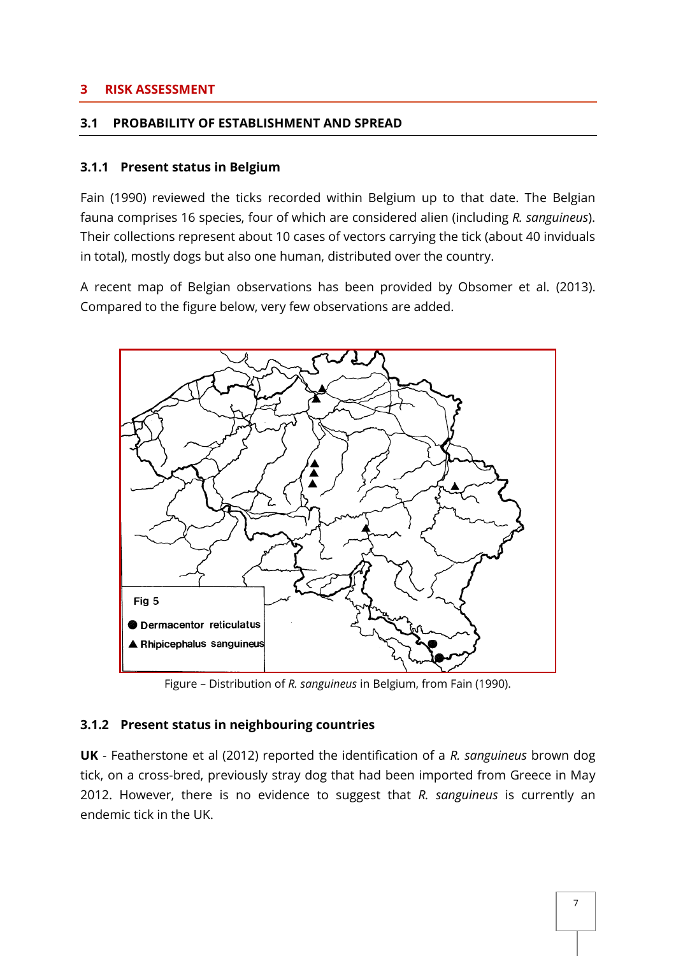#### <span id="page-6-0"></span>**3 RISK ASSESSMENT**

#### <span id="page-6-1"></span>**3.1 PROBABILITY OF ESTABLISHMENT AND SPREAD**

#### <span id="page-6-2"></span>**3.1.1 Present status in Belgium**

Fain (1990) reviewed the ticks recorded within Belgium up to that date. The Belgian fauna comprises 16 species, four of which are considered alien (including *R. sanguineus*). Their collections represent about 10 cases of vectors carrying the tick (about 40 inviduals in total), mostly dogs but also one human, distributed over the country.

A recent map of Belgian observations has been provided by Obsomer et al. (2013). Compared to the figure below, very few observations are added.



Figure – Distribution of *R. sanguineus* in Belgium, from Fain (1990).

#### <span id="page-6-3"></span>**3.1.2 Present status in neighbouring countries**

**UK** - Featherstone et al (2012) reported the identification of a *R. sanguineus* brown dog tick, on a cross-bred, previously stray dog that had been imported from Greece in May 2012. However, there is no evidence to suggest that *R. sanguineus* is currently an endemic tick in the UK.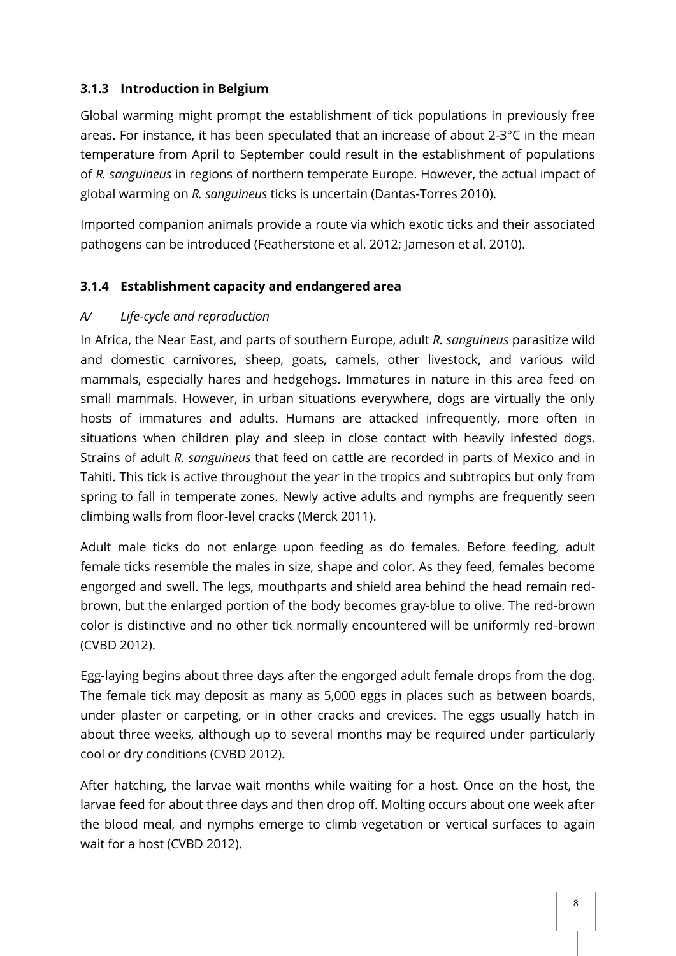## <span id="page-7-0"></span>**3.1.3 Introduction in Belgium**

Global warming might prompt the establishment of tick populations in previously free areas. For instance, it has been speculated that an increase of about 2-3°C in the mean temperature from April to September could result in the establishment of populations of *R. sanguineus* in regions of northern temperate Europe. However, the actual impact of global warming on *R. sanguineus* ticks is uncertain (Dantas-Torres 2010).

Imported companion animals provide a route via which exotic ticks and their associated pathogens can be introduced (Featherstone et al. 2012; Jameson et al. 2010).

## <span id="page-7-1"></span>**3.1.4 Establishment capacity and endangered area**

## *A/ Life-cycle and reproduction*

In Africa, the Near East, and parts of southern Europe, adult *R. sanguineus* parasitize wild and domestic carnivores, sheep, goats, camels, other livestock, and various wild mammals, especially hares and hedgehogs. Immatures in nature in this area feed on small mammals. However, in urban situations everywhere, dogs are virtually the only hosts of immatures and adults. Humans are attacked infrequently, more often in situations when children play and sleep in close contact with heavily infested dogs. Strains of adult *R. sanguineus* that feed on cattle are recorded in parts of Mexico and in Tahiti. This tick is active throughout the year in the tropics and subtropics but only from spring to fall in temperate zones. Newly active adults and nymphs are frequently seen climbing walls from floor-level cracks (Merck 2011).

Adult male ticks do not enlarge upon feeding as do females. Before feeding, adult female ticks resemble the males in size, shape and color. As they feed, females become engorged and swell. The legs, mouthparts and shield area behind the head remain redbrown, but the enlarged portion of the body becomes gray-blue to olive. The red-brown color is distinctive and no other tick normally encountered will be uniformly red-brown (CVBD 2012).

Egg-laying begins about three days after the engorged adult female drops from the dog. The female tick may deposit as many as 5,000 eggs in places such as between boards, under plaster or carpeting, or in other cracks and crevices. The eggs usually hatch in about three weeks, although up to several months may be required under particularly cool or dry conditions (CVBD 2012).

After hatching, the larvae wait months while waiting for a host. Once on the host, the larvae feed for about three days and then drop off. Molting occurs about one week after the blood meal, and nymphs emerge to climb vegetation or vertical surfaces to again wait for a host (CVBD 2012).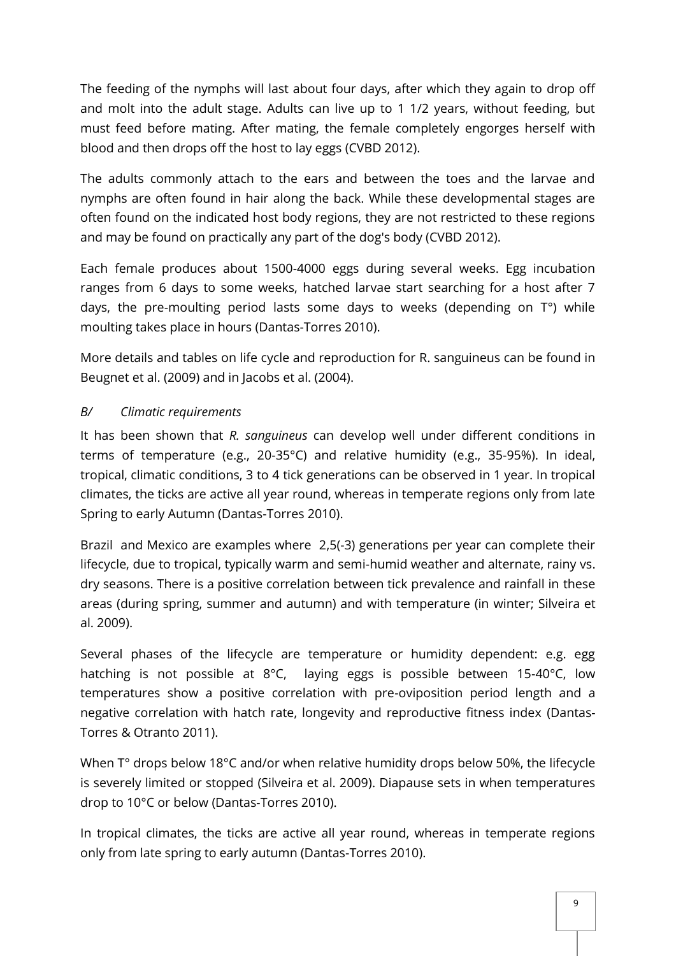The feeding of the nymphs will last about four days, after which they again to drop off and molt into the adult stage. Adults can live up to 1 1/2 years, without feeding, but must feed before mating. After mating, the female completely engorges herself with blood and then drops off the host to lay eggs (CVBD 2012).

The adults commonly attach to the ears and between the toes and the larvae and nymphs are often found in hair along the back. While these developmental stages are often found on the indicated host body regions, they are not restricted to these regions and may be found on practically any part of the dog's body (CVBD 2012).

Each female produces about 1500-4000 eggs during several weeks. Egg incubation ranges from 6 days to some weeks, hatched larvae start searching for a host after 7 days, the pre-moulting period lasts some days to weeks (depending on T°) while moulting takes place in hours (Dantas-Torres 2010).

More details and tables on life cycle and reproduction for R. sanguineus can be found in Beugnet et al. (2009) and in Jacobs et al. (2004).

## *B/ Climatic requirements*

It has been shown that *R. sanguineus* can develop well under different conditions in terms of temperature (e.g., 20-35°C) and relative humidity (e.g., 35-95%). In ideal, tropical, climatic conditions, 3 to 4 tick generations can be observed in 1 year. In tropical climates, the ticks are active all year round, whereas in temperate regions only from late Spring to early Autumn (Dantas-Torres 2010).

Brazil and Mexico are examples where 2,5(-3) generations per year can complete their lifecycle, due to tropical, typically warm and semi-humid weather and alternate, rainy vs. dry seasons. There is a positive correlation between tick prevalence and rainfall in these areas (during spring, summer and autumn) and with temperature (in winter; Silveira et al. 2009).

Several phases of the lifecycle are temperature or humidity dependent: e.g. egg hatching is not possible at 8°C, laying eggs is possible between 15-40°C, low temperatures show a positive correlation with pre-oviposition period length and a negative correlation with hatch rate, longevity and reproductive fitness index (Dantas-Torres & Otranto 2011).

When T° drops below 18°C and/or when relative humidity drops below 50%, the lifecycle is severely limited or stopped (Silveira et al. 2009). Diapause sets in when temperatures drop to 10°C or below (Dantas-Torres 2010).

In tropical climates, the ticks are active all year round, whereas in temperate regions only from late spring to early autumn (Dantas-Torres 2010).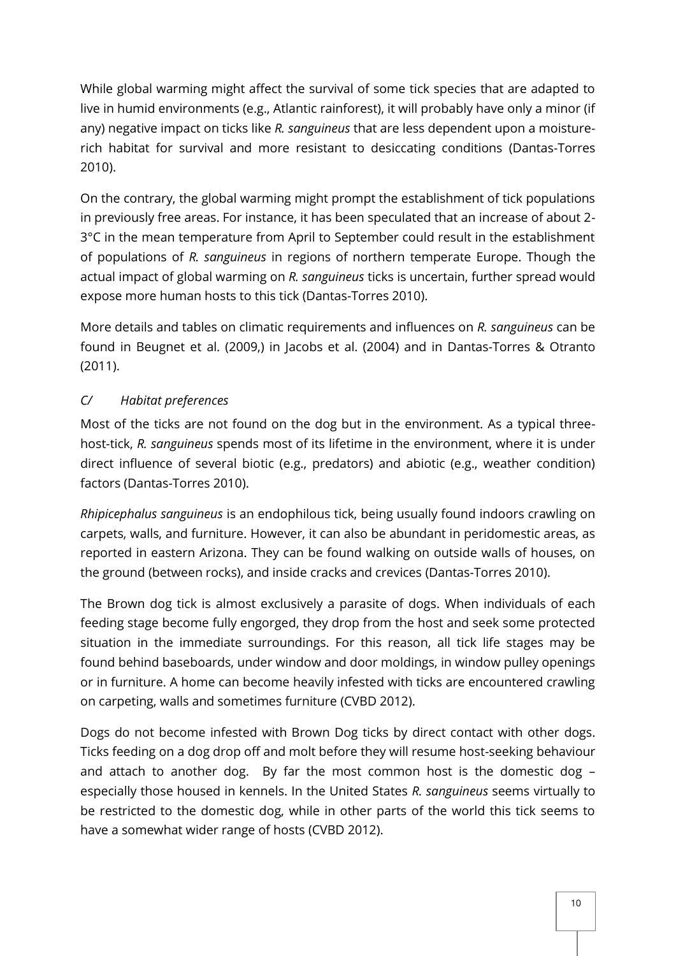While global warming might affect the survival of some tick species that are adapted to live in humid environments (e.g., Atlantic rainforest), it will probably have only a minor (if any) negative impact on ticks like *R. sanguineus* that are less dependent upon a moisturerich habitat for survival and more resistant to desiccating conditions (Dantas-Torres 2010).

On the contrary, the global warming might prompt the establishment of tick populations in previously free areas. For instance, it has been speculated that an increase of about 2- 3°C in the mean temperature from April to September could result in the establishment of populations of *R. sanguineus* in regions of northern temperate Europe. Though the actual impact of global warming on *R. sanguineus* ticks is uncertain, further spread would expose more human hosts to this tick (Dantas-Torres 2010).

More details and tables on climatic requirements and influences on *R. sanguineus* can be found in Beugnet et al. (2009,) in Jacobs et al. (2004) and in Dantas-Torres & Otranto (2011).

## *C/ Habitat preferences*

Most of the ticks are not found on the dog but in the environment. As a typical threehost-tick, *R. sanguineus* spends most of its lifetime in the environment, where it is under direct influence of several biotic (e.g., predators) and abiotic (e.g., weather condition) factors (Dantas-Torres 2010).

*Rhipicephalus sanguineus* is an endophilous tick, being usually found indoors crawling on carpets, walls, and furniture. However, it can also be abundant in peridomestic areas, as reported in eastern Arizona. They can be found walking on outside walls of houses, on the ground (between rocks), and inside cracks and crevices (Dantas-Torres 2010).

The Brown dog tick is almost exclusively a parasite of dogs. When individuals of each feeding stage become fully engorged, they drop from the host and seek some protected situation in the immediate surroundings. For this reason, all tick life stages may be found behind baseboards, under window and door moldings, in window pulley openings or in furniture. A home can become heavily infested with ticks are encountered crawling on carpeting, walls and sometimes furniture (CVBD 2012).

Dogs do not become infested with Brown Dog ticks by direct contact with other dogs. Ticks feeding on a dog drop off and molt before they will resume host-seeking behaviour and attach to another dog. By far the most common host is the domestic dog – especially those housed in kennels. In the United States *R. sanguineus* seems virtually to be restricted to the domestic dog, while in other parts of the world this tick seems to have a somewhat wider range of hosts (CVBD 2012).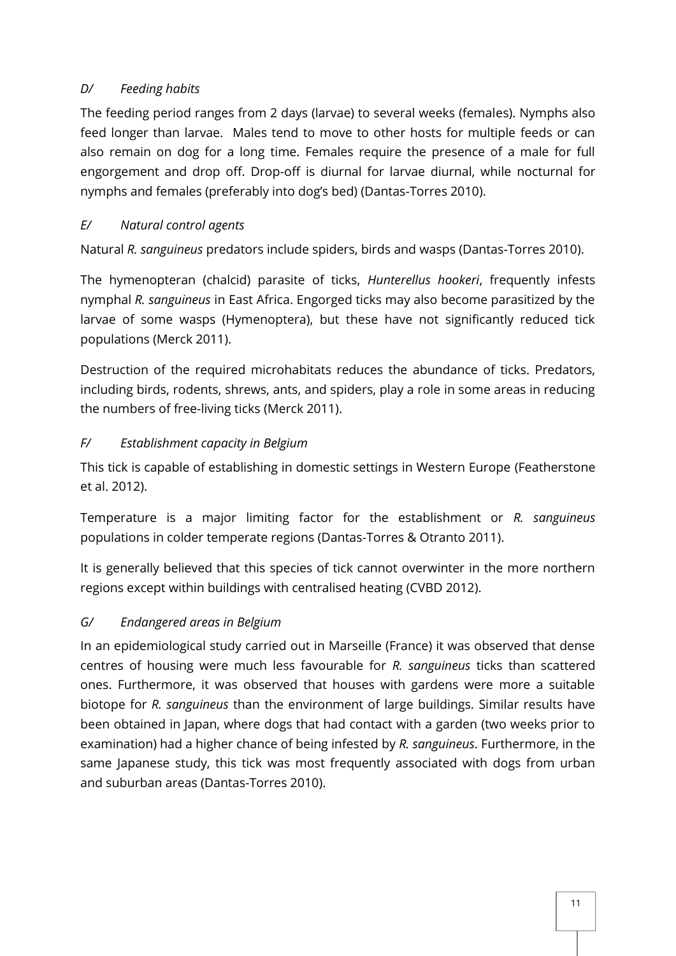## *D/ Feeding habits*

The feeding period ranges from 2 days (larvae) to several weeks (females). Nymphs also feed longer than larvae. Males tend to move to other hosts for multiple feeds or can also remain on dog for a long time. Females require the presence of a male for full engorgement and drop off. Drop-off is diurnal for larvae diurnal, while nocturnal for nymphs and females (preferably into dog's bed) (Dantas-Torres 2010).

## *E/ Natural control agents*

Natural *R. sanguineus* predators include spiders, birds and wasps (Dantas-Torres 2010).

The hymenopteran (chalcid) parasite of ticks, *Hunterellus hookeri*, frequently infests nymphal *R. sanguineus* in East Africa. Engorged ticks may also become parasitized by the larvae of some wasps (Hymenoptera), but these have not significantly reduced tick populations (Merck 2011).

Destruction of the required microhabitats reduces the abundance of ticks. Predators, including birds, rodents, shrews, ants, and spiders, play a role in some areas in reducing the numbers of free-living ticks (Merck 2011).

## *F/ Establishment capacity in Belgium*

This tick is capable of establishing in domestic settings in Western Europe (Featherstone et al. 2012).

Temperature is a major limiting factor for the establishment or *R. sanguineus* populations in colder temperate regions (Dantas-Torres & Otranto 2011).

It is generally believed that this species of tick cannot overwinter in the more northern regions except within buildings with centralised heating (CVBD 2012).

## *G/ Endangered areas in Belgium*

In an epidemiological study carried out in Marseille (France) it was observed that dense centres of housing were much less favourable for *R. sanguineus* ticks than scattered ones. Furthermore, it was observed that houses with gardens were more a suitable biotope for *R. sanguineus* than the environment of large buildings. Similar results have been obtained in Japan, where dogs that had contact with a garden (two weeks prior to examination) had a higher chance of being infested by *R. sanguineus*. Furthermore, in the same Japanese study, this tick was most frequently associated with dogs from urban and suburban areas (Dantas-Torres 2010).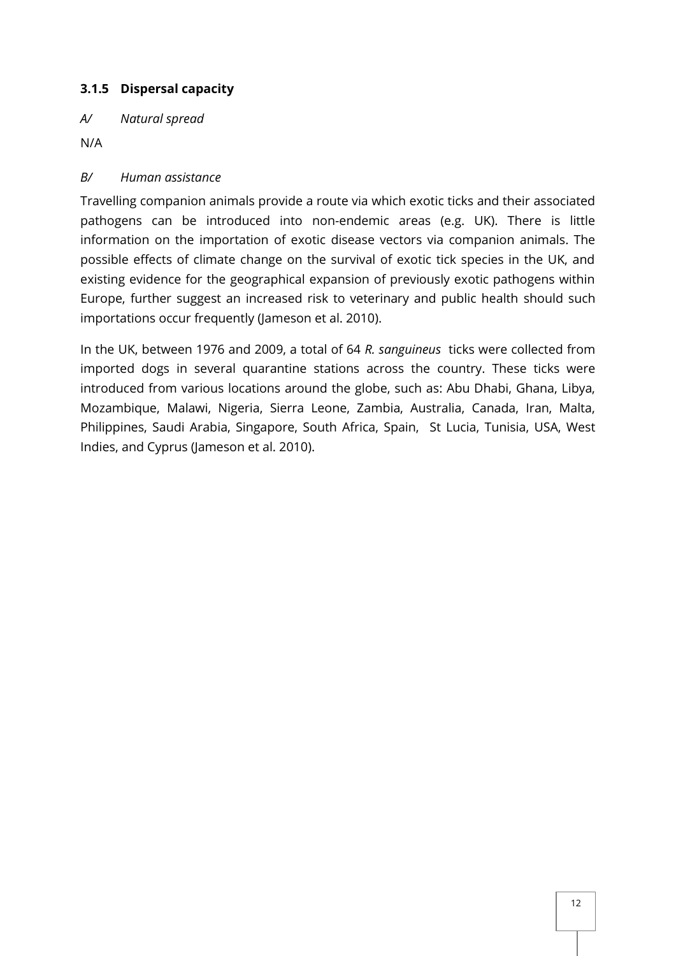## <span id="page-11-0"></span>**3.1.5 Dispersal capacity**

*A/ Natural spread*

N/A

## *B/ Human assistance*

Travelling companion animals provide a route via which exotic ticks and their associated pathogens can be introduced into non-endemic areas (e.g. UK). There is little information on the importation of exotic disease vectors via companion animals. The possible effects of climate change on the survival of exotic tick species in the UK, and existing evidence for the geographical expansion of previously exotic pathogens within Europe, further suggest an increased risk to veterinary and public health should such importations occur frequently (Jameson et al. 2010).

In the UK, between 1976 and 2009, a total of 64 *R. sanguineus* ticks were collected from imported dogs in several quarantine stations across the country. These ticks were introduced from various locations around the globe, such as: Abu Dhabi, Ghana, Libya, Mozambique, Malawi, Nigeria, Sierra Leone, Zambia, Australia, Canada, Iran, Malta, Philippines, Saudi Arabia, Singapore, South Africa, Spain, St Lucia, Tunisia, USA, West Indies, and Cyprus (Jameson et al. 2010).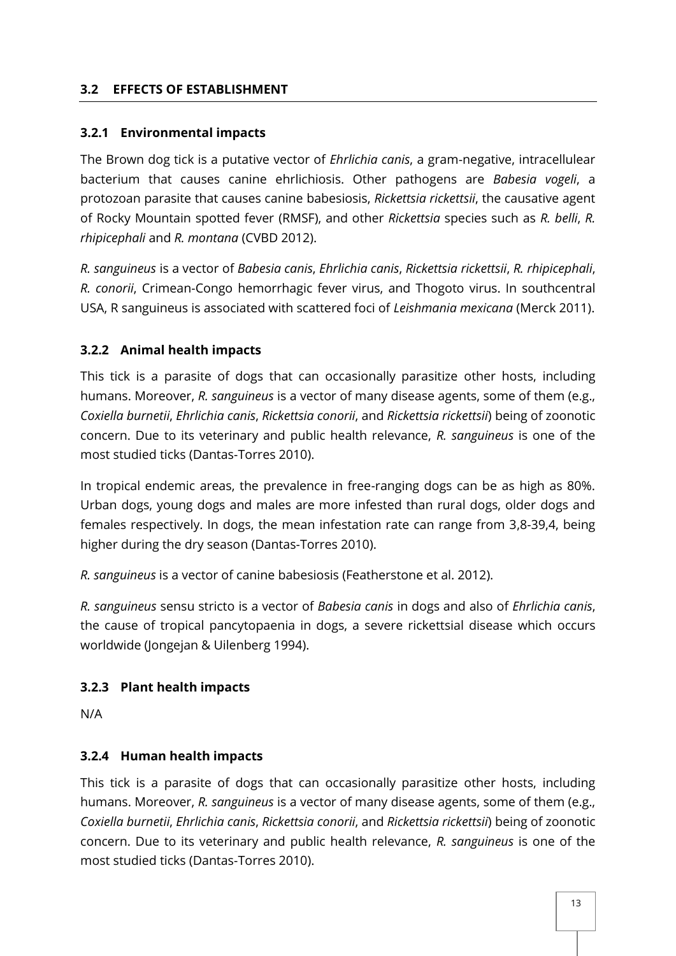#### <span id="page-12-0"></span>**3.2 EFFECTS OF ESTABLISHMENT**

#### <span id="page-12-1"></span>**3.2.1 Environmental impacts**

The Brown dog tick is a putative vector of *Ehrlichia canis*, a gram-negative, intracellulear bacterium that causes canine ehrlichiosis. Other pathogens are *Babesia vogeli*, a protozoan parasite that causes canine babesiosis, *Rickettsia rickettsii*, the causative agent of Rocky Mountain spotted fever (RMSF), and other *Rickettsia* species such as *R. belli*, *R. rhipicephali* and *R. montana* (CVBD 2012).

*R. sanguineus* is a vector of *Babesia canis*, *Ehrlichia canis*, *Rickettsia rickettsii*, *R. rhipicephali*, *R. conorii*, Crimean-Congo hemorrhagic fever virus, and Thogoto virus. In southcentral USA, R sanguineus is associated with scattered foci of *Leishmania mexicana* (Merck 2011).

#### <span id="page-12-2"></span>**3.2.2 Animal health impacts**

This tick is a parasite of dogs that can occasionally parasitize other hosts, including humans. Moreover, *R. sanguineus* is a vector of many disease agents, some of them (e.g., *Coxiella burnetii*, *Ehrlichia canis*, *Rickettsia conorii*, and *Rickettsia rickettsii*) being of zoonotic concern. Due to its veterinary and public health relevance, *R. sanguineus* is one of the most studied ticks (Dantas-Torres 2010).

In tropical endemic areas, the prevalence in free-ranging dogs can be as high as 80%. Urban dogs, young dogs and males are more infested than rural dogs, older dogs and females respectively. In dogs, the mean infestation rate can range from 3,8-39,4, being higher during the dry season (Dantas-Torres 2010).

*R. sanguineus* is a vector of canine babesiosis (Featherstone et al. 2012).

*R. sanguineus* sensu stricto is a vector of *Babesia canis* in dogs and also of *Ehrlichia canis*, the cause of tropical pancytopaenia in dogs, a severe rickettsial disease which occurs worldwide (Jongejan & Uilenberg 1994).

#### <span id="page-12-3"></span>**3.2.3 Plant health impacts**

N/A

#### <span id="page-12-4"></span>**3.2.4 Human health impacts**

This tick is a parasite of dogs that can occasionally parasitize other hosts, including humans. Moreover, *R. sanguineus* is a vector of many disease agents, some of them (e.g., *Coxiella burnetii*, *Ehrlichia canis*, *Rickettsia conorii*, and *Rickettsia rickettsii*) being of zoonotic concern. Due to its veterinary and public health relevance, *R. sanguineus* is one of the most studied ticks (Dantas-Torres 2010).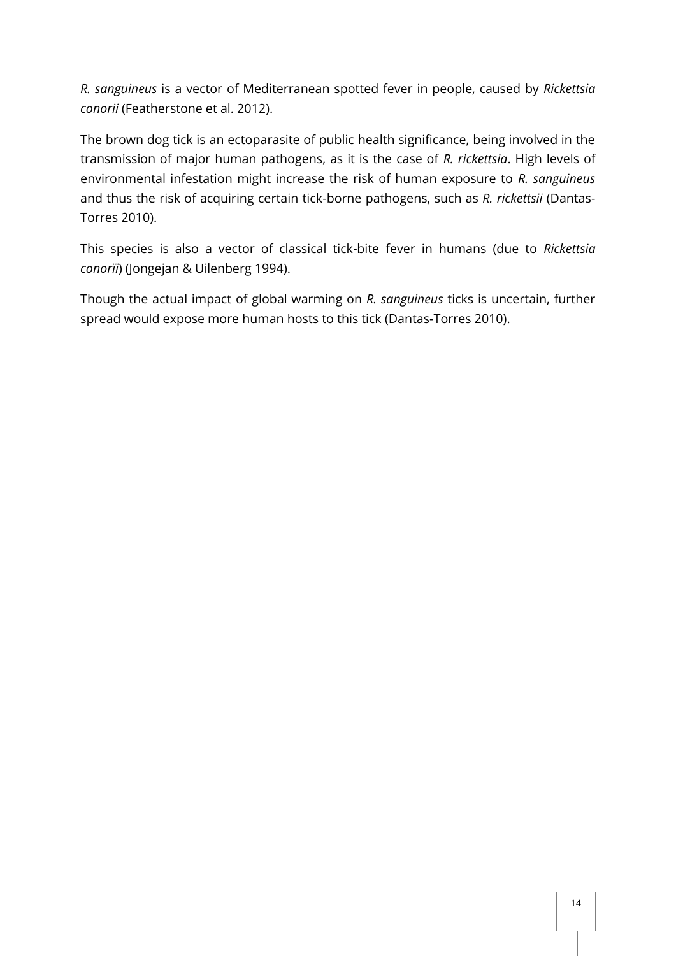*R. sanguineus* is a vector of Mediterranean spotted fever in people, caused by *Rickettsia conorii* (Featherstone et al. 2012).

The brown dog tick is an ectoparasite of public health significance, being involved in the transmission of major human pathogens, as it is the case of *R. rickettsia*. High levels of environmental infestation might increase the risk of human exposure to *R. sanguineus* and thus the risk of acquiring certain tick-borne pathogens, such as *R. rickettsii* (Dantas-Torres 2010).

This species is also a vector of classical tick-bite fever in humans (due to *Rickettsia conorïi*) (Jongejan & Uilenberg 1994).

Though the actual impact of global warming on *R. sanguineus* ticks is uncertain, further spread would expose more human hosts to this tick (Dantas-Torres 2010).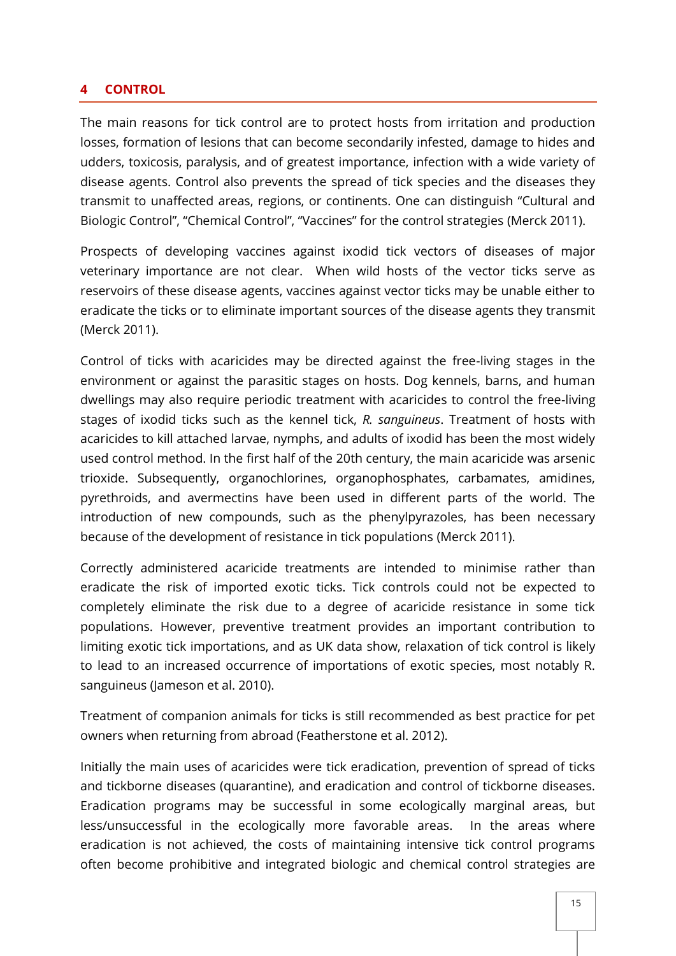#### <span id="page-14-0"></span>**4 CONTROL**

The main reasons for tick control are to protect hosts from irritation and production losses, formation of lesions that can become secondarily infested, damage to hides and udders, toxicosis, paralysis, and of greatest importance, infection with a wide variety of disease agents. Control also prevents the spread of tick species and the diseases they transmit to unaffected areas, regions, or continents. One can distinguish "Cultural and Biologic Control", "Chemical Control", "Vaccines" for the control strategies (Merck 2011).

Prospects of developing vaccines against ixodid tick vectors of diseases of major veterinary importance are not clear. When wild hosts of the vector ticks serve as reservoirs of these disease agents, vaccines against vector ticks may be unable either to eradicate the ticks or to eliminate important sources of the disease agents they transmit (Merck 2011).

Control of ticks with acaricides may be directed against the free-living stages in the environment or against the parasitic stages on hosts. Dog kennels, barns, and human dwellings may also require periodic treatment with acaricides to control the free-living stages of ixodid ticks such as the kennel tick, *R. sanguineus*. Treatment of hosts with acaricides to kill attached larvae, nymphs, and adults of ixodid has been the most widely used control method. In the first half of the 20th century, the main acaricide was arsenic trioxide. Subsequently, organochlorines, organophosphates, carbamates, amidines, pyrethroids, and avermectins have been used in different parts of the world. The introduction of new compounds, such as the phenylpyrazoles, has been necessary because of the development of resistance in tick populations (Merck 2011).

Correctly administered acaricide treatments are intended to minimise rather than eradicate the risk of imported exotic ticks. Tick controls could not be expected to completely eliminate the risk due to a degree of acaricide resistance in some tick populations. However, preventive treatment provides an important contribution to limiting exotic tick importations, and as UK data show, relaxation of tick control is likely to lead to an increased occurrence of importations of exotic species, most notably R. sanguineus (Jameson et al. 2010).

Treatment of companion animals for ticks is still recommended as best practice for pet owners when returning from abroad (Featherstone et al. 2012).

Initially the main uses of acaricides were tick eradication, prevention of spread of ticks and tickborne diseases (quarantine), and eradication and control of tickborne diseases. Eradication programs may be successful in some ecologically marginal areas, but less/unsuccessful in the ecologically more favorable areas. In the areas where eradication is not achieved, the costs of maintaining intensive tick control programs often become prohibitive and integrated biologic and chemical control strategies are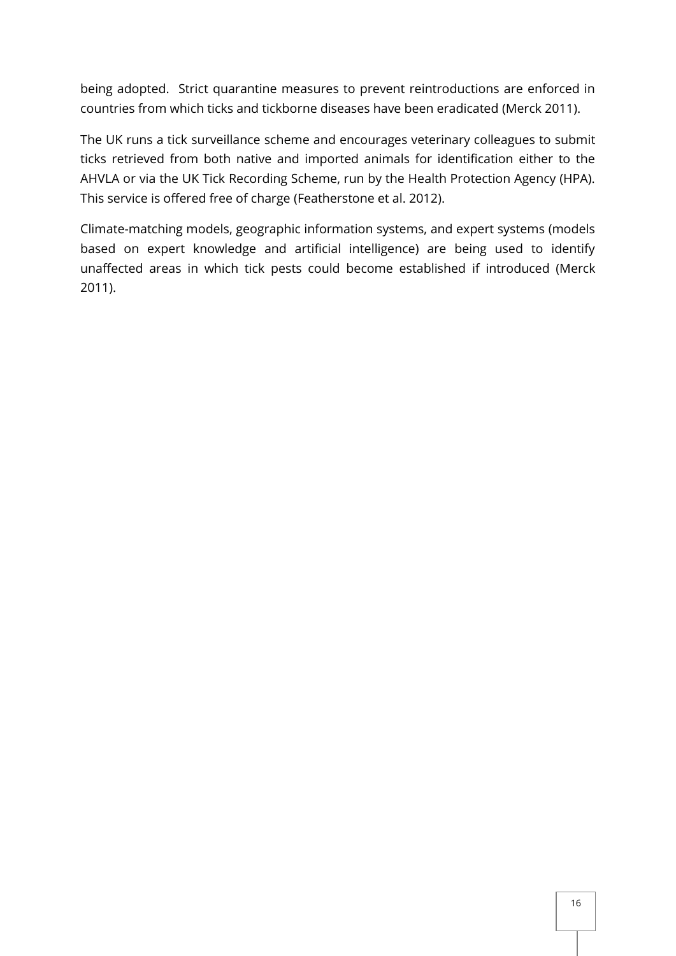being adopted. Strict quarantine measures to prevent reintroductions are enforced in countries from which ticks and tickborne diseases have been eradicated (Merck 2011).

The UK runs a tick surveillance scheme and encourages veterinary colleagues to submit ticks retrieved from both native and imported animals for identification either to the AHVLA or via the UK Tick Recording Scheme, run by the Health Protection Agency (HPA). This service is offered free of charge (Featherstone et al. 2012).

Climate-matching models, geographic information systems, and expert systems (models based on expert knowledge and artificial intelligence) are being used to identify unaffected areas in which tick pests could become established if introduced (Merck 2011).